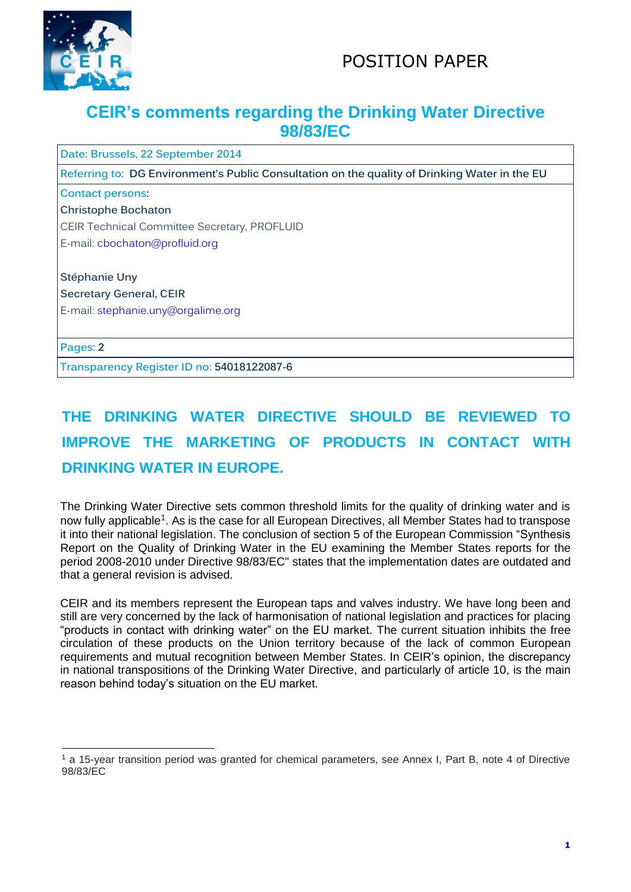



## **CEIR's comments regarding the Drinking Water Directive 98/83/EC**

**Date: Brussels, 22 September 2014**

**Referring to: DG Environment's Public Consultation on the quality of Drinking Water in the EU**

**Contact persons:**

**Christophe Bochaton**

CEIR Technical Committee Secretary, PROFLUID

E-mail: [cbochaton@profluid.org](mailto:cbochaton@profluid.org)

**Stéphanie Uny Secretary General, CEIR**  E-mail: [stephanie.uny@orgalime.org](mailto:stephanie.uny@orgalime.org)

**Pages: 2**

l

**Transparency Register ID no: 54018122087-6**

## **THE DRINKING WATER DIRECTIVE SHOULD BE REVIEWED TO IMPROVE THE MARKETING OF PRODUCTS IN CONTACT WITH DRINKING WATER IN EUROPE.**

The Drinking Water Directive sets common threshold limits for the quality of drinking water and is now fully applicable<sup>1</sup>. As is the case for all European Directives, all Member States had to transpose it into their national legislation. The conclusion of section 5 of the European Commission "Synthesis Report on the Quality of Drinking Water in the EU examining the Member States reports for the period 2008-2010 under Directive 98/83/EC" states that the implementation dates are outdated and that a general revision is advised.

CEIR and its members represent the European taps and valves industry. We have long been and still are very concerned by the lack of harmonisation of national legislation and practices for placing "products in contact with drinking water" on the EU market. The current situation inhibits the free circulation of these products on the Union territory because of the lack of common European requirements and mutual recognition between Member States. In CEIR's opinion, the discrepancy in national transpositions of the Drinking Water Directive, and particularly of article 10, is the main reason behind today's situation on the EU market.

<sup>1</sup> a 15-year transition period was granted for chemical parameters, see Annex I, Part B, note 4 of Directive 98/83/EC